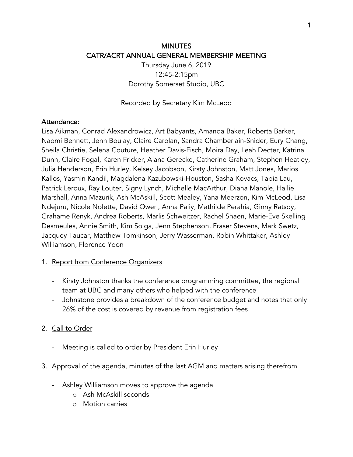# MINUTES CATR/ACRT ANNUAL GENERAL MEMBERSHIP MEETING

Thursday June 6, 2019 12:45-2:15pm Dorothy Somerset Studio, UBC

Recorded by Secretary Kim McLeod

#### Attendance:

Lisa Aikman, Conrad Alexandrowicz, Art Babyants, Amanda Baker, Roberta Barker, Naomi Bennett, Jenn Boulay, Claire Carolan, Sandra Chamberlain-Snider, Eury Chang, Sheila Christie, Selena Couture, Heather Davis-Fisch, Moira Day, Leah Decter, Katrina Dunn, Claire Fogal, Karen Fricker, Alana Gerecke, Catherine Graham, Stephen Heatley, Julia Henderson, Erin Hurley, Kelsey Jacobson, Kirsty Johnston, Matt Jones, Marios Kallos, Yasmin Kandil, Magdalena Kazubowski-Houston, Sasha Kovacs, Tabia Lau, Patrick Leroux, Ray Louter, Signy Lynch, Michelle MacArthur, Diana Manole, Hallie Marshall, Anna Mazurik, Ash McAskill, Scott Mealey, Yana Meerzon, Kim McLeod, Lisa Ndejuru, Nicole Nolette, David Owen, Anna Paliy, Mathilde Perahia, Ginny Ratsoy, Grahame Renyk, Andrea Roberts, Marlis Schweitzer, Rachel Shaen, Marie-Eve Skelling Desmeules, Annie Smith, Kim Solga, Jenn Stephenson, Fraser Stevens, Mark Swetz, Jacquey Taucar, Matthew Tomkinson, Jerry Wasserman, Robin Whittaker, Ashley Williamson, Florence Yoon

#### 1. Report from Conference Organizers

- Kirsty Johnston thanks the conference programming committee, the regional team at UBC and many others who helped with the conference
- Johnstone provides a breakdown of the conference budget and notes that only 26% of the cost is covered by revenue from registration fees

### 2. Call to Order

- Meeting is called to order by President Erin Hurley
- 3. Approval of the agenda, minutes of the last AGM and matters arising therefrom
	- Ashley Williamson moves to approve the agenda
		- o Ash McAskill seconds
		- o Motion carries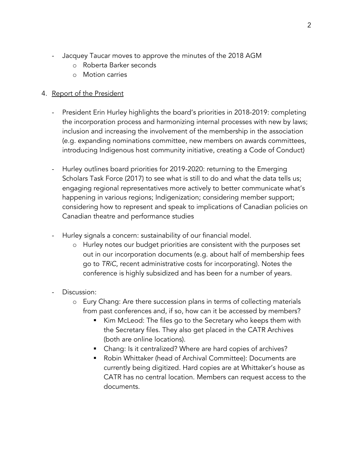- Jacquey Taucar moves to approve the minutes of the 2018 AGM
	- o Roberta Barker seconds
	- o Motion carries

# 4. Report of the President

- President Erin Hurley highlights the board's priorities in 2018-2019: completing the incorporation process and harmonizing internal processes with new by laws; inclusion and increasing the involvement of the membership in the association (e.g. expanding nominations committee, new members on awards committees, introducing Indigenous host community initiative, creating a Code of Conduct)
- Hurley outlines board priorities for 2019-2020: returning to the Emerging Scholars Task Force (2017) to see what is still to do and what the data tells us; engaging regional representatives more actively to better communicate what's happening in various regions; Indigenization; considering member support; considering how to represent and speak to implications of Canadian policies on Canadian theatre and performance studies
- Hurley signals a concern: sustainability of our financial model.
	- o Hurley notes our budget priorities are consistent with the purposes set out in our incorporation documents (e.g. about half of membership fees go to *TRiC*, recent administrative costs for incorporating). Notes the conference is highly subsidized and has been for a number of years.
- Discussion:
	- o Eury Chang: Are there succession plans in terms of collecting materials from past conferences and, if so, how can it be accessed by members?
		- Kim McLeod: The files go to the Secretary who keeps them with the Secretary files. They also get placed in the CATR Archives (both are online locations).
		- Chang: Is it centralized? Where are hard copies of archives?
		- § Robin Whittaker (head of Archival Committee): Documents are currently being digitized. Hard copies are at Whittaker's house as CATR has no central location. Members can request access to the documents.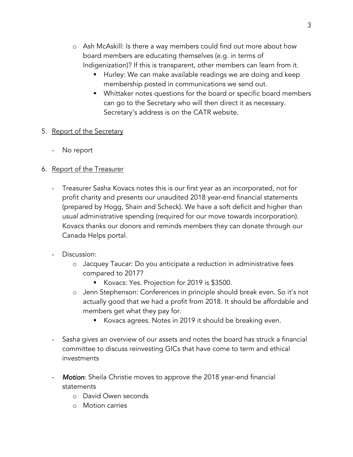- o Ash McAskill: Is there a way members could find out more about how board members are educating themselves (e.g. in terms of Indigenization)? If this is transparent, other members can learn from it.
	- Hurley: We can make available readings we are doing and keep membership posted in communications we send out.
	- Whittaker notes questions for the board or specific board members can go to the Secretary who will then direct it as necessary. Secretary's address is on the CATR website.

## 5. Report of the Secretary

No report

# 6. Report of the Treasurer

- Treasurer Sasha Kovacs notes this is our first year as an incorporated, not for profit charity and presents our unaudited 2018 year-end financial statements (prepared by Hogg, Shain and Scheck). We have a soft deficit and higher than usual administrative spending (required for our move towards incorporation). Kovacs thanks our donors and reminds members they can donate through our Canada Helps portal.
- Discussion:
	- o Jacquey Taucar: Do you anticipate a reduction in administrative fees compared to 2017?
		- § Kovacs: Yes. Projection for 2019 is \$3500.
	- o Jenn Stephenson: Conferences in principle should break even. So it's not actually good that we had a profit from 2018. It should be affordable and members get what they pay for.
		- Kovacs agrees. Notes in 2019 it should be breaking even.
- Sasha gives an overview of our assets and notes the board has struck a financial committee to discuss reinvesting GICs that have come to term and ethical investments
- Motion: Sheila Christie moves to approve the 2018 year-end financial statements
	- o David Owen seconds
	- o Motion carries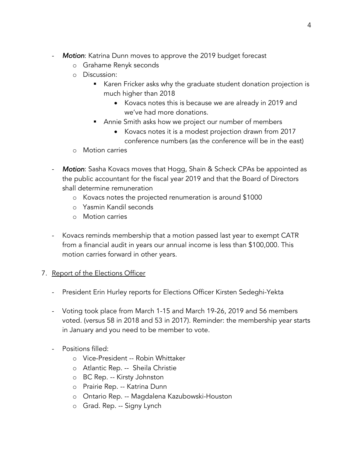- **Motion:** Katrina Dunn moves to approve the 2019 budget forecast
	- o Grahame Renyk seconds
	- o Discussion:
		- Karen Fricker asks why the graduate student donation projection is much higher than 2018
			- Kovacs notes this is because we are already in 2019 and we've had more donations.
		- Annie Smith asks how we project our number of members
			- Kovacs notes it is a modest projection drawn from 2017 conference numbers (as the conference will be in the east)
	- o Motion carries
- *Motion*: Sasha Kovacs moves that Hogg, Shain & Scheck CPAs be appointed as the public accountant for the fiscal year 2019 and that the Board of Directors shall determine remuneration
	- o Kovacs notes the projected renumeration is around \$1000
	- o Yasmin Kandil seconds
	- o Motion carries
- Kovacs reminds membership that a motion passed last year to exempt CATR from a financial audit in years our annual income is less than \$100,000. This motion carries forward in other years.

# 7. Report of the Elections Officer

- President Erin Hurley reports for Elections Officer Kirsten Sedeghi-Yekta
- Voting took place from March 1-15 and March 19-26, 2019 and 56 members voted. (versus 58 in 2018 and 53 in 2017). Reminder: the membership year starts in January and you need to be member to vote.
- Positions filled:
	- o Vice-President -- Robin Whittaker
	- o Atlantic Rep. -- Sheila Christie
	- o BC Rep. -- Kirsty Johnston
	- o Prairie Rep. -- Katrina Dunn
	- o Ontario Rep. -- Magdalena Kazubowski-Houston
	- o Grad. Rep. -- Signy Lynch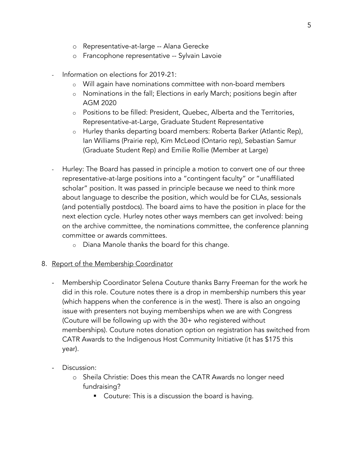- o Representative-at-large -- Alana Gerecke
- o Francophone representative -- Sylvain Lavoie
- Information on elections for 2019-21:
	- o Will again have nominations committee with non-board members
	- o Nominations in the fall; Elections in early March; positions begin after AGM 2020
	- o Positions to be filled: President, Quebec, Alberta and the Territories, Representative-at-Large, Graduate Student Representative
	- o Hurley thanks departing board members: Roberta Barker (Atlantic Rep), Ian Williams (Prairie rep), Kim McLeod (Ontario rep), Sebastian Samur (Graduate Student Rep) and Emilie Rollie (Member at Large)
- Hurley: The Board has passed in principle a motion to convert one of our three representative-at-large positions into a "contingent faculty" or "unaffiliated scholar" position. It was passed in principle because we need to think more about language to describe the position, which would be for CLAs, sessionals (and potentially postdocs). The board aims to have the position in place for the next election cycle. Hurley notes other ways members can get involved: being on the archive committee, the nominations committee, the conference planning committee or awards committees.
	- o Diana Manole thanks the board for this change.
- 8. Report of the Membership Coordinator
	- Membership Coordinator Selena Couture thanks Barry Freeman for the work he did in this role. Couture notes there is a drop in membership numbers this year (which happens when the conference is in the west). There is also an ongoing issue with presenters not buying memberships when we are with Congress (Couture will be following up with the 30+ who registered without memberships). Couture notes donation option on registration has switched from CATR Awards to the Indigenous Host Community Initiative (it has \$175 this year).
	- Discussion:
		- o Sheila Christie: Does this mean the CATR Awards no longer need fundraising?
			- Couture: This is a discussion the board is having.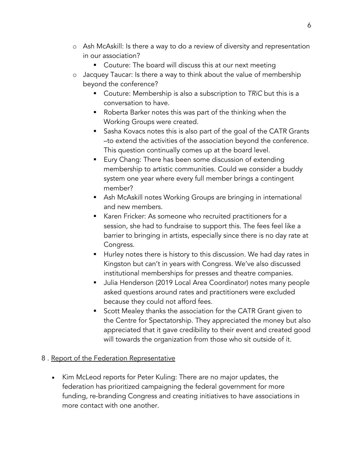- o Ash McAskill: Is there a way to do a review of diversity and representation in our association?
	- Couture: The board will discuss this at our next meeting
- o Jacquey Taucar: Is there a way to think about the value of membership beyond the conference?
	- § Couture: Membership is also a subscription to *TRiC* but this is a conversation to have.
	- Roberta Barker notes this was part of the thinking when the Working Groups were created.
	- Sasha Kovacs notes this is also part of the goal of the CATR Grants –to extend the activities of the association beyond the conference. This question continually comes up at the board level.
	- Eury Chang: There has been some discussion of extending membership to artistic communities. Could we consider a buddy system one year where every full member brings a contingent member?
	- Ash McAskill notes Working Groups are bringing in international and new members.
	- § Karen Fricker: As someone who recruited practitioners for a session, she had to fundraise to support this. The fees feel like a barrier to bringing in artists, especially since there is no day rate at Congress.
	- Hurley notes there is history to this discussion. We had day rates in Kingston but can't in years with Congress. We've also discussed institutional memberships for presses and theatre companies.
	- § Julia Henderson (2019 Local Area Coordinator) notes many people asked questions around rates and practitioners were excluded because they could not afford fees.
	- Scott Mealey thanks the association for the CATR Grant given to the Centre for Spectatorship. They appreciated the money but also appreciated that it gave credibility to their event and created good will towards the organization from those who sit outside of it.

# 8 . Report of the Federation Representative

• Kim McLeod reports for Peter Kuling: There are no major updates, the federation has prioritized campaigning the federal government for more funding, re-branding Congress and creating initiatives to have associations in more contact with one another.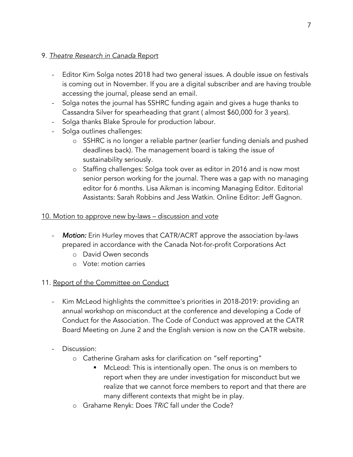## 9. *Theatre Research in Canada* Report

- Editor Kim Solga notes 2018 had two general issues. A double issue on festivals is coming out in November. If you are a digital subscriber and are having trouble accessing the journal, please send an email.
- Solga notes the journal has SSHRC funding again and gives a huge thanks to Cassandra Silver for spearheading that grant ( almost \$60,000 for 3 years).
- Solga thanks Blake Sproule for production labour.
- Solga outlines challenges:
	- o SSHRC is no longer a reliable partner (earlier funding denials and pushed deadlines back). The management board is taking the issue of sustainability seriously.
	- o Staffing challenges: Solga took over as editor in 2016 and is now most senior person working for the journal. There was a gap with no managing editor for 6 months. Lisa Aikman is incoming Managing Editor. Editorial Assistants: Sarah Robbins and Jess Watkin. Online Editor: Jeff Gagnon.

## 10. Motion to approve new by-laws – discussion and vote

- *Motion:* Erin Hurley moves that CATR/ACRT approve the association by-laws prepared in accordance with the Canada Not-for-profit Corporations Act
	- o David Owen seconds
	- o Vote: motion carries

# 11. Report of the Committee on Conduct

- Kim McLeod highlights the committee's priorities in 2018-2019: providing an annual workshop on misconduct at the conference and developing a Code of Conduct for the Association. The Code of Conduct was approved at the CATR Board Meeting on June 2 and the English version is now on the CATR website.
- Discussion:
	- o Catherine Graham asks for clarification on "self reporting"
		- McLeod: This is intentionally open. The onus is on members to report when they are under investigation for misconduct but we realize that we cannot force members to report and that there are many different contexts that might be in play.
	- o Grahame Renyk: Does *TRiC* fall under the Code?